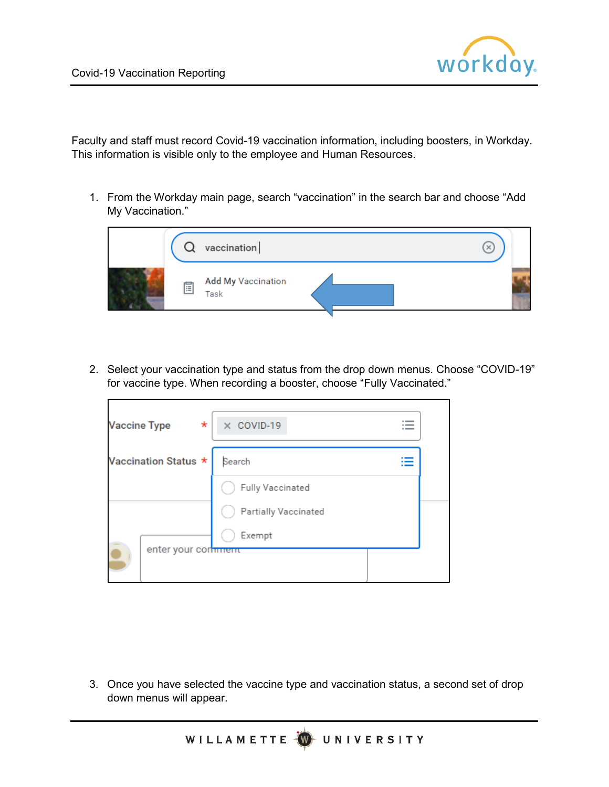

Faculty and staff must record Covid-19 vaccination information, including boosters, in Workday. This information is visible only to the employee and Human Resources.

1. From the Workday main page, search "vaccination" in the search bar and choose "Add My Vaccination."



2. Select your vaccination type and status from the drop down menus. Choose "COVID-19" for vaccine type. When recording a booster, choose "Fully Vaccinated."

| $\ast$<br><b>Vaccine Type</b> | $\times$ COVID-19<br>. _ |  |
|-------------------------------|--------------------------|--|
| Vaccination Status *          | Search                   |  |
|                               | Fully Vaccinated         |  |
|                               | Partially Vaccinated     |  |
|                               | Exempt                   |  |
| enter your continuent         |                          |  |

3. Once you have selected the vaccine type and vaccination status, a second set of drop down menus will appear.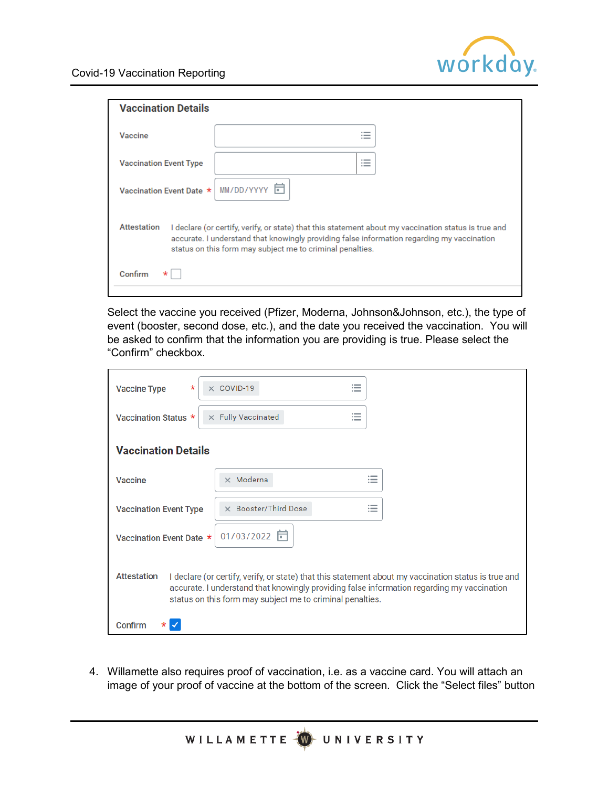

| <b>Vaccination Details</b>                                                                                                                                                                                                                                                            |                                                                |  |  |  |
|---------------------------------------------------------------------------------------------------------------------------------------------------------------------------------------------------------------------------------------------------------------------------------------|----------------------------------------------------------------|--|--|--|
| Vaccine                                                                                                                                                                                                                                                                               | ._                                                             |  |  |  |
| <b>Vaccination Event Type</b>                                                                                                                                                                                                                                                         | $\sim$<br>$\overline{\phantom{a}}$<br>$\overline{\phantom{a}}$ |  |  |  |
| Vaccination Event Date *                                                                                                                                                                                                                                                              | MM/DD/YYYY O                                                   |  |  |  |
| <b>Attestation</b><br>I declare (or certify, verify, or state) that this statement about my vaccination status is true and<br>accurate. I understand that knowingly providing false information regarding my vaccination<br>status on this form may subject me to criminal penalties. |                                                                |  |  |  |
| Confirm                                                                                                                                                                                                                                                                               |                                                                |  |  |  |

Select the vaccine you received (Pfizer, Moderna, Johnson&Johnson, etc.), the type of event (booster, second dose, etc.), and the date you received the vaccination. You will be asked to confirm that the information you are providing is true. Please select the "Confirm" checkbox.

| <b>Vaccine Type</b><br>$^\star$                                                                                                                                                                                                                                                       | $\times$ COVID-19           |                                                      |  |  |
|---------------------------------------------------------------------------------------------------------------------------------------------------------------------------------------------------------------------------------------------------------------------------------------|-----------------------------|------------------------------------------------------|--|--|
| Vaccination Status *                                                                                                                                                                                                                                                                  | $\times$ Fully Vaccinated   | $\overline{\phantom{a}}$<br>$\overline{\phantom{a}}$ |  |  |
| <b>Vaccination Details</b>                                                                                                                                                                                                                                                            |                             |                                                      |  |  |
| Vaccine                                                                                                                                                                                                                                                                               | $\times$ Moderna            | $\overline{\phantom{a}}$<br>$-$                      |  |  |
| <b>Vaccination Event Type</b>                                                                                                                                                                                                                                                         | $\times$ Booster/Third Dose | $\overline{\phantom{a}}$                             |  |  |
| Vaccination Event Date *                                                                                                                                                                                                                                                              | 01/03/2022                  |                                                      |  |  |
| <b>Attestation</b><br>I declare (or certify, verify, or state) that this statement about my vaccination status is true and<br>accurate. I understand that knowingly providing false information regarding my vaccination<br>status on this form may subject me to criminal penalties. |                             |                                                      |  |  |
| Confirm                                                                                                                                                                                                                                                                               |                             |                                                      |  |  |

4. Willamette also requires proof of vaccination, i.e. as a vaccine card. You will attach an image of your proof of vaccine at the bottom of the screen. Click the "Select files" button